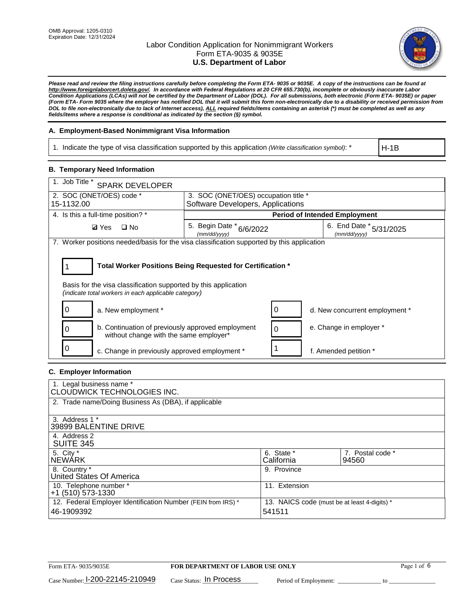

*Please read and review the filing instructions carefully before completing the Form ETA- 9035 or 9035E. A copy of the instructions can be found at [http://www.foreignlaborcert.doleta.gov/.](http://www.foreignlaborcert.doleta.gov/) In accordance with Federal Regulations at 20 CFR 655.730(b), incomplete or obviously inaccurate Labor Condition Applications (LCAs) will not be certified by the Department of Labor (DOL). For all submissions, both electronic (Form ETA- 9035E) or paper (Form ETA- Form 9035 where the employer has notified DOL that it will submit this form non-electronically due to a disability or received permission from DOL to file non-electronically due to lack of Internet access), ALL required fields/items containing an asterisk (\*) must be completed as well as any fields/items where a response is conditional as indicated by the section (§) symbol.* 

## **A. Employment-Based Nonimmigrant Visa Information**

1. Indicate the type of visa classification supported by this application *(Write classification symbol)*: \*

H-1B

## **B. Temporary Need Information**

| 1. Job Title *<br><b>SPARK DEVELOPER</b>                                                                                                                                              |                                          |                                         |  |  |  |  |
|---------------------------------------------------------------------------------------------------------------------------------------------------------------------------------------|------------------------------------------|-----------------------------------------|--|--|--|--|
| 2. SOC (ONET/OES) code *                                                                                                                                                              |                                          | 3. SOC (ONET/OES) occupation title *    |  |  |  |  |
| 15-1132.00                                                                                                                                                                            | Software Developers, Applications        |                                         |  |  |  |  |
| 4. Is this a full-time position? *                                                                                                                                                    | <b>Period of Intended Employment</b>     |                                         |  |  |  |  |
| $\Box$ No<br><b>Ø</b> Yes                                                                                                                                                             | 5. Begin Date * 6/6/2022<br>(mm/dd/yyyy) | 6. End Date * 5/31/2025<br>(mm/dd/vvvv) |  |  |  |  |
| 7. Worker positions needed/basis for the visa classification supported by this application                                                                                            |                                          |                                         |  |  |  |  |
| Total Worker Positions Being Requested for Certification *<br>Basis for the visa classification supported by this application<br>(indicate total workers in each applicable category) |                                          |                                         |  |  |  |  |
| a. New employment *                                                                                                                                                                   |                                          | 0<br>d. New concurrent employment *     |  |  |  |  |
| b. Continuation of previously approved employment<br>without change with the same employer*                                                                                           |                                          | e. Change in employer *<br>0            |  |  |  |  |
| c. Change in previously approved employment *                                                                                                                                         |                                          | f. Amended petition *                   |  |  |  |  |

## **C. Employer Information**

| 1. Legal business name *<br>CLOUDWICK TECHNOLOGIES INC.                                                                              |                          |                           |
|--------------------------------------------------------------------------------------------------------------------------------------|--------------------------|---------------------------|
| 2. Trade name/Doing Business As (DBA), if applicable                                                                                 |                          |                           |
| 3. Address 1 *<br>39899 BALENTINE DRIVE                                                                                              |                          |                           |
| 4. Address 2<br><b>SUITE 345</b>                                                                                                     |                          |                           |
| 5. City *<br><b>NEWARK</b>                                                                                                           | 6. State *<br>California | 7. Postal code *<br>94560 |
| 8. Country *<br>United States Of America                                                                                             | 9. Province              |                           |
| 10. Telephone number *<br>$+1$ (510) 573-1330                                                                                        | 11. Extension            |                           |
| 12. Federal Employer Identification Number (FEIN from IRS) *<br>13. NAICS code (must be at least 4-digits) *<br>541511<br>46-1909392 |                          |                           |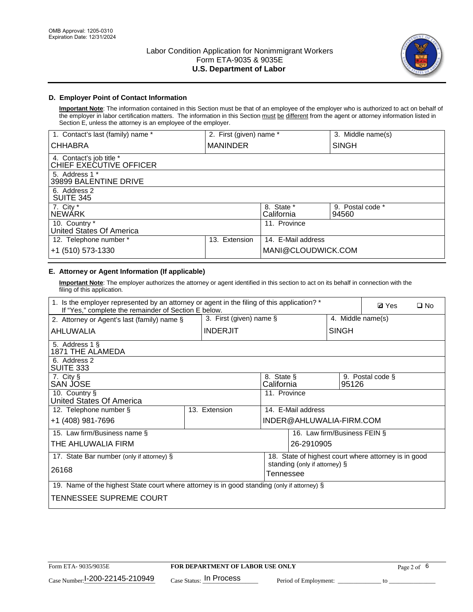

## **D. Employer Point of Contact Information**

**Important Note**: The information contained in this Section must be that of an employee of the employer who is authorized to act on behalf of the employer in labor certification matters. The information in this Section must be different from the agent or attorney information listed in Section E, unless the attorney is an employee of the employer.

| 1. Contact's last (family) name *                   | 2. First (given) name * |                          | 3. Middle name(s)         |
|-----------------------------------------------------|-------------------------|--------------------------|---------------------------|
| <b>CHHABRA</b>                                      | <b>MANINDER</b>         |                          | <b>SINGH</b>              |
| 4. Contact's job title *<br>CHIEF EXECUTIVE OFFICER |                         |                          |                           |
| 5. Address 1 *<br>39899 BALENTINE DRIVE             |                         |                          |                           |
| 6. Address 2<br><b>SUITE 345</b>                    |                         |                          |                           |
| 7. City *<br><b>NEWÁRK</b>                          |                         | 8. State *<br>California | 9. Postal code *<br>94560 |
| 10. Country *<br>United States Of America           |                         | 11. Province             |                           |
| 12. Telephone number *                              | Extension<br>13.        | 14. E-Mail address       |                           |
| +1 (510) 573-1330                                   |                         | MANI@CLOUDWICK.COM       |                           |

# **E. Attorney or Agent Information (If applicable)**

**Important Note**: The employer authorizes the attorney or agent identified in this section to act on its behalf in connection with the filing of this application.

| 1. Is the employer represented by an attorney or agent in the filing of this application? *<br>If "Yes," complete the remainder of Section E below. |  |                 |                                            |                              | <b>Ø</b> Yes<br>$\Box$ No |                                                      |  |
|-----------------------------------------------------------------------------------------------------------------------------------------------------|--|-----------------|--------------------------------------------|------------------------------|---------------------------|------------------------------------------------------|--|
| 3. First (given) name $\S$<br>2. Attorney or Agent's last (family) name §                                                                           |  |                 |                                            |                              |                           | 4. Middle name(s)                                    |  |
| AHLUWALIA                                                                                                                                           |  | <b>INDERJIT</b> |                                            |                              | <b>SINGH</b>              |                                                      |  |
| 5. Address 1 §<br>1871 THE ALAMEDA                                                                                                                  |  |                 |                                            |                              |                           |                                                      |  |
| 6. Address 2<br>SUITE 333                                                                                                                           |  |                 |                                            |                              |                           |                                                      |  |
| 7. City §<br>SAN JOSE                                                                                                                               |  |                 | 8. State §<br>California                   |                              | 9. Postal code §<br>95126 |                                                      |  |
| 10. Country §<br>United States Of America                                                                                                           |  |                 | 11. Province                               |                              |                           |                                                      |  |
| 12. Telephone number §                                                                                                                              |  | 13. Extension   | 14. E-Mail address                         |                              |                           |                                                      |  |
| +1 (408) 981-7696                                                                                                                                   |  |                 |                                            | INDER@AHLUWALIA-FIRM.COM     |                           |                                                      |  |
| 15. Law firm/Business name §                                                                                                                        |  |                 |                                            | 16. Law firm/Business FEIN § |                           |                                                      |  |
| THE AHLUWALIA FIRM                                                                                                                                  |  |                 |                                            | 26-2910905                   |                           |                                                      |  |
| 17. State Bar number (only if attorney) §                                                                                                           |  |                 |                                            |                              |                           | 18. State of highest court where attorney is in good |  |
| 26168                                                                                                                                               |  |                 | standing (only if attorney) §<br>Tennessee |                              |                           |                                                      |  |
| 19. Name of the highest State court where attorney is in good standing (only if attorney) §                                                         |  |                 |                                            |                              |                           |                                                      |  |
| TENNESSEE SUPREME COURT                                                                                                                             |  |                 |                                            |                              |                           |                                                      |  |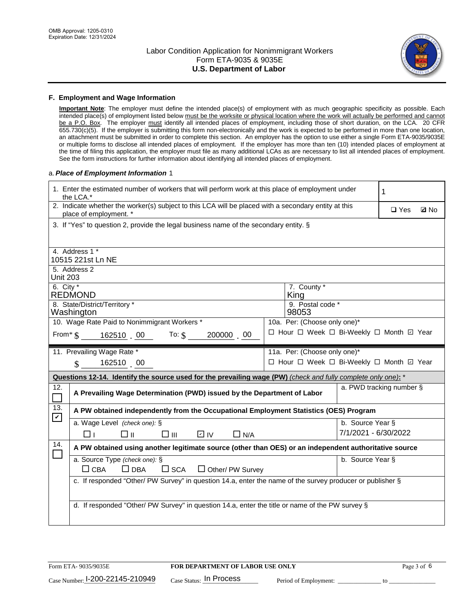

### **F. Employment and Wage Information**

**Important Note**: The employer must define the intended place(s) of employment with as much geographic specificity as possible. Each intended place(s) of employment listed below must be the worksite or physical location where the work will actually be performed and cannot be a P.O. Box. The employer must identify all intended places of employment, including those of short duration, on the LCA. 20 CFR 655.730(c)(5). If the employer is submitting this form non-electronically and the work is expected to be performed in more than one location, an attachment must be submitted in order to complete this section. An employer has the option to use either a single Form ETA-9035/9035E or multiple forms to disclose all intended places of employment. If the employer has more than ten (10) intended places of employment at the time of filing this application, the employer must file as many additional LCAs as are necessary to list all intended places of employment. See the form instructions for further information about identifying all intended places of employment.

### a.*Place of Employment Information* 1

|                                                                              | 1. Enter the estimated number of workers that will perform work at this place of employment under<br>1<br>the LCA.*                                                 |  |                                          |                      |                          |             |  |
|------------------------------------------------------------------------------|---------------------------------------------------------------------------------------------------------------------------------------------------------------------|--|------------------------------------------|----------------------|--------------------------|-------------|--|
|                                                                              | 2. Indicate whether the worker(s) subject to this LCA will be placed with a secondary entity at this<br>place of employment. *                                      |  |                                          |                      |                          | <b>Z</b> No |  |
|                                                                              | 3. If "Yes" to question 2, provide the legal business name of the secondary entity. §                                                                               |  |                                          |                      |                          |             |  |
|                                                                              | 4. Address 1 *                                                                                                                                                      |  |                                          |                      |                          |             |  |
|                                                                              | 10515 221st Ln NE                                                                                                                                                   |  |                                          |                      |                          |             |  |
| <b>Unit 203</b>                                                              | 5. Address 2                                                                                                                                                        |  |                                          |                      |                          |             |  |
| 6. City $*$                                                                  | <b>REDMOND</b>                                                                                                                                                      |  | 7. County *<br>King                      |                      |                          |             |  |
| 8. State/District/Territory *<br>9. Postal code *<br>Washington<br>98053     |                                                                                                                                                                     |  |                                          |                      |                          |             |  |
| 10. Wage Rate Paid to Nonimmigrant Workers *<br>10a. Per: (Choose only one)* |                                                                                                                                                                     |  |                                          |                      |                          |             |  |
|                                                                              | □ Hour □ Week □ Bi-Weekly □ Month ☑ Year<br>From* \$162510 00 To: \$<br>200000 00                                                                                   |  |                                          |                      |                          |             |  |
|                                                                              | 11. Prevailing Wage Rate *                                                                                                                                          |  | 11a. Per: (Choose only one)*             |                      |                          |             |  |
|                                                                              | 162510 00<br>$\mathbf{\$}$                                                                                                                                          |  | □ Hour □ Week □ Bi-Weekly □ Month ☑ Year |                      |                          |             |  |
|                                                                              | Questions 12-14. Identify the source used for the prevailing wage (PW) (check and fully complete only one): *                                                       |  |                                          |                      |                          |             |  |
| 12.<br>$\Box$                                                                | A Prevailing Wage Determination (PWD) issued by the Department of Labor                                                                                             |  |                                          |                      | a. PWD tracking number § |             |  |
| 13.<br>$\mathbf v$                                                           | A PW obtained independently from the Occupational Employment Statistics (OES) Program                                                                               |  |                                          |                      |                          |             |  |
|                                                                              | a. Wage Level (check one): §                                                                                                                                        |  |                                          | b. Source Year §     |                          |             |  |
|                                                                              | □⊪<br>$\square$ $\square$<br>D IV<br>□⊥<br>$\Box$ N/A                                                                                                               |  |                                          | 7/1/2021 - 6/30/2022 |                          |             |  |
| 14.                                                                          | A PW obtained using another legitimate source (other than OES) or an independent authoritative source                                                               |  |                                          |                      |                          |             |  |
|                                                                              | a. Source Type (check one): §<br>b. Source Year §<br>$\Box$ CBA                                                                                                     |  |                                          |                      |                          |             |  |
|                                                                              | $\Box$ DBA<br>$\square$ SCA<br>$\Box$ Other/ PW Survey<br>c. If responded "Other/ PW Survey" in question 14.a, enter the name of the survey producer or publisher § |  |                                          |                      |                          |             |  |
|                                                                              |                                                                                                                                                                     |  |                                          |                      |                          |             |  |
|                                                                              | d. If responded "Other/ PW Survey" in question 14.a, enter the title or name of the PW survey §                                                                     |  |                                          |                      |                          |             |  |
|                                                                              |                                                                                                                                                                     |  |                                          |                      |                          |             |  |
|                                                                              |                                                                                                                                                                     |  |                                          |                      |                          |             |  |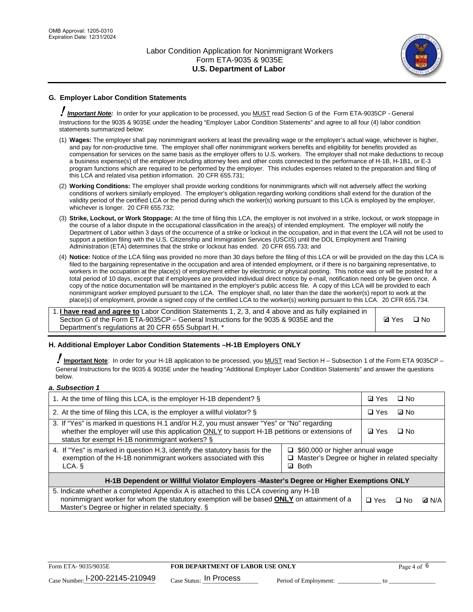

# **G. Employer Labor Condition Statements**

! *Important Note:* In order for your application to be processed, you MUST read Section G of the Form ETA-9035CP - General Instructions for the 9035 & 9035E under the heading "Employer Labor Condition Statements" and agree to all four (4) labor condition statements summarized below:

- (1) **Wages:** The employer shall pay nonimmigrant workers at least the prevailing wage or the employer's actual wage, whichever is higher, and pay for non-productive time. The employer shall offer nonimmigrant workers benefits and eligibility for benefits provided as compensation for services on the same basis as the employer offers to U.S. workers. The employer shall not make deductions to recoup a business expense(s) of the employer including attorney fees and other costs connected to the performance of H-1B, H-1B1, or E-3 program functions which are required to be performed by the employer. This includes expenses related to the preparation and filing of this LCA and related visa petition information. 20 CFR 655.731;
- (2) **Working Conditions:** The employer shall provide working conditions for nonimmigrants which will not adversely affect the working conditions of workers similarly employed. The employer's obligation regarding working conditions shall extend for the duration of the validity period of the certified LCA or the period during which the worker(s) working pursuant to this LCA is employed by the employer, whichever is longer. 20 CFR 655.732;
- (3) **Strike, Lockout, or Work Stoppage:** At the time of filing this LCA, the employer is not involved in a strike, lockout, or work stoppage in the course of a labor dispute in the occupational classification in the area(s) of intended employment. The employer will notify the Department of Labor within 3 days of the occurrence of a strike or lockout in the occupation, and in that event the LCA will not be used to support a petition filing with the U.S. Citizenship and Immigration Services (USCIS) until the DOL Employment and Training Administration (ETA) determines that the strike or lockout has ended. 20 CFR 655.733; and
- (4) **Notice:** Notice of the LCA filing was provided no more than 30 days before the filing of this LCA or will be provided on the day this LCA is filed to the bargaining representative in the occupation and area of intended employment, or if there is no bargaining representative, to workers in the occupation at the place(s) of employment either by electronic or physical posting. This notice was or will be posted for a total period of 10 days, except that if employees are provided individual direct notice by e-mail, notification need only be given once. A copy of the notice documentation will be maintained in the employer's public access file. A copy of this LCA will be provided to each nonimmigrant worker employed pursuant to the LCA. The employer shall, no later than the date the worker(s) report to work at the place(s) of employment, provide a signed copy of the certified LCA to the worker(s) working pursuant to this LCA. 20 CFR 655.734.

1. **I have read and agree to** Labor Condition Statements 1, 2, 3, and 4 above and as fully explained in Section G of the Form ETA-9035CP – General Instructions for the 9035 & 9035E and the Department's regulations at 20 CFR 655 Subpart H. \*

**Ø**Yes ロNo

## **H. Additional Employer Labor Condition Statements –H-1B Employers ONLY**

!**Important Note***:* In order for your H-1B application to be processed, you MUST read Section H – Subsection 1 of the Form ETA 9035CP – General Instructions for the 9035 & 9035E under the heading "Additional Employer Labor Condition Statements" and answer the questions below.

#### *a. Subsection 1*

| 1. At the time of filing this LCA, is the employer H-1B dependent? §                                                                                                                                                                                                  |  | ⊡ Yes | $\Box$ No |              |
|-----------------------------------------------------------------------------------------------------------------------------------------------------------------------------------------------------------------------------------------------------------------------|--|-------|-----------|--------------|
| 2. At the time of filing this LCA, is the employer a willful violator? $\S$                                                                                                                                                                                           |  |       | ⊡ No      |              |
| 3. If "Yes" is marked in questions H.1 and/or H.2, you must answer "Yes" or "No" regarding<br>whether the employer will use this application ONLY to support H-1B petitions or extensions of<br>status for exempt H-1B nonimmigrant workers? §                        |  |       | $\Box$ No |              |
| 4. If "Yes" is marked in question H.3, identify the statutory basis for the<br>$\Box$ \$60,000 or higher annual wage<br>exemption of the H-1B nonimmigrant workers associated with this<br>Master's Degree or higher in related specialty<br><b>Both</b><br>LCA.<br>☑ |  |       |           |              |
| H-1B Dependent or Willful Violator Employers -Master's Degree or Higher Exemptions ONLY                                                                                                                                                                               |  |       |           |              |
| 5. Indicate whether a completed Appendix A is attached to this LCA covering any H-1B<br>nonimmigrant worker for whom the statutory exemption will be based <b>ONLY</b> on attainment of a<br>Master's Degree or higher in related specialty. §                        |  |       | ⊡ No      | <b>D</b> N/A |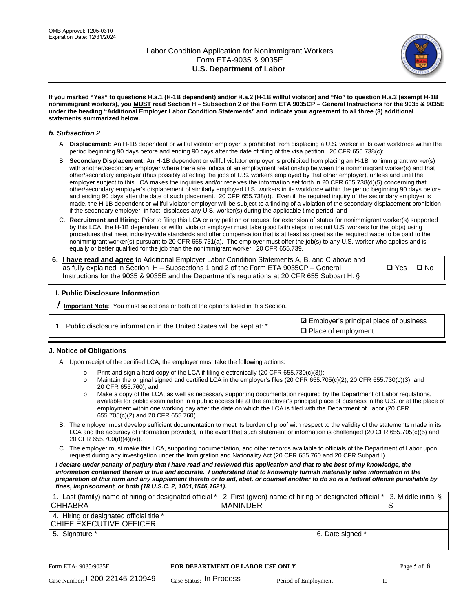

**If you marked "Yes" to questions H.a.1 (H-1B dependent) and/or H.a.2 (H-1B willful violator) and "No" to question H.a.3 (exempt H-1B nonimmigrant workers), you MUST read Section H – Subsection 2 of the Form ETA 9035CP – General Instructions for the 9035 & 9035E under the heading "Additional Employer Labor Condition Statements" and indicate your agreement to all three (3) additional statements summarized below.**

#### *b. Subsection 2*

- A. **Displacement:** An H-1B dependent or willful violator employer is prohibited from displacing a U.S. worker in its own workforce within the period beginning 90 days before and ending 90 days after the date of filing of the visa petition. 20 CFR 655.738(c);
- B. **Secondary Displacement:** An H-1B dependent or willful violator employer is prohibited from placing an H-1B nonimmigrant worker(s) with another/secondary employer where there are indicia of an employment relationship between the nonimmigrant worker(s) and that other/secondary employer (thus possibly affecting the jobs of U.S. workers employed by that other employer), unless and until the employer subject to this LCA makes the inquiries and/or receives the information set forth in 20 CFR 655.738(d)(5) concerning that other/secondary employer's displacement of similarly employed U.S. workers in its workforce within the period beginning 90 days before and ending 90 days after the date of such placement. 20 CFR 655.738(d). Even if the required inquiry of the secondary employer is made, the H-1B dependent or willful violator employer will be subject to a finding of a violation of the secondary displacement prohibition if the secondary employer, in fact, displaces any U.S. worker(s) during the applicable time period; and
- C. **Recruitment and Hiring:** Prior to filing this LCA or any petition or request for extension of status for nonimmigrant worker(s) supported by this LCA, the H-1B dependent or willful violator employer must take good faith steps to recruit U.S. workers for the job(s) using procedures that meet industry-wide standards and offer compensation that is at least as great as the required wage to be paid to the nonimmigrant worker(s) pursuant to 20 CFR 655.731(a). The employer must offer the job(s) to any U.S. worker who applies and is equally or better qualified for the job than the nonimmigrant worker. 20 CFR 655.739.

| 6. I have read and agree to Additional Employer Labor Condition Statements A, B, and C above and |       |           |
|--------------------------------------------------------------------------------------------------|-------|-----------|
| as fully explained in Section H – Subsections 1 and 2 of the Form ETA 9035CP – General           | □ Yes | $\Box$ No |
| Instructions for the 9035 & 9035E and the Department's regulations at 20 CFR 655 Subpart H. §    |       |           |

## **I. Public Disclosure Information**

! **Important Note***:* You must select one or both of the options listed in this Section.

| 1. Public disclosure information in the United States will be kept at: * |  |  |  |  |  |  |
|--------------------------------------------------------------------------|--|--|--|--|--|--|
|--------------------------------------------------------------------------|--|--|--|--|--|--|

**sqrt** Employer's principal place of business □ Place of employment

## **J. Notice of Obligations**

A. Upon receipt of the certified LCA, the employer must take the following actions:

- o Print and sign a hard copy of the LCA if filing electronically (20 CFR 655.730(c)(3));<br>
Maintain the original signed and certified LCA in the employer's files (20 CFR 655.7
- Maintain the original signed and certified LCA in the employer's files (20 CFR 655.705(c)(2); 20 CFR 655.730(c)(3); and 20 CFR 655.760); and
- o Make a copy of the LCA, as well as necessary supporting documentation required by the Department of Labor regulations, available for public examination in a public access file at the employer's principal place of business in the U.S. or at the place of employment within one working day after the date on which the LCA is filed with the Department of Labor (20 CFR 655.705(c)(2) and 20 CFR 655.760).
- B. The employer must develop sufficient documentation to meet its burden of proof with respect to the validity of the statements made in its LCA and the accuracy of information provided, in the event that such statement or information is challenged (20 CFR 655.705(c)(5) and 20 CFR 655.700(d)(4)(iv)).
- C. The employer must make this LCA, supporting documentation, and other records available to officials of the Department of Labor upon request during any investigation under the Immigration and Nationality Act (20 CFR 655.760 and 20 CFR Subpart I).

*I declare under penalty of perjury that I have read and reviewed this application and that to the best of my knowledge, the*  information contained therein is true and accurate. I understand that to knowingly furnish materially false information in the *preparation of this form and any supplement thereto or to aid, abet, or counsel another to do so is a federal offense punishable by fines, imprisonment, or both (18 U.S.C. 2, 1001,1546,1621).*

| 1. Last (family) name of hiring or designated official * 2. First (given) name of hiring or designated official * 3. Middle initial §<br><b>CHHABRA</b> | I MANINDER |                  |  |
|---------------------------------------------------------------------------------------------------------------------------------------------------------|------------|------------------|--|
| 4. Hiring or designated official title *<br>CHIEF EXECUTIVE OFFICER                                                                                     |            |                  |  |
| 5. Signature *                                                                                                                                          |            | 6. Date signed * |  |